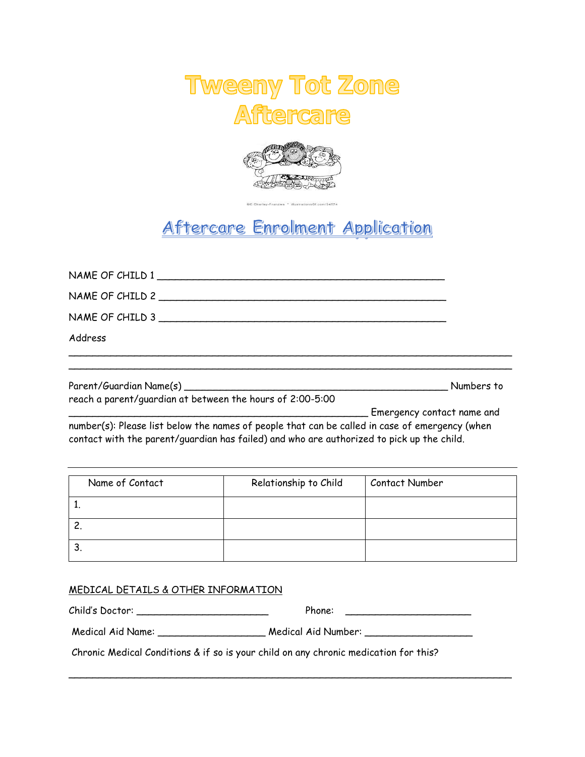



## Aftercare Enrolment Application

| NAME OF CHILD 1                                                                                                                                                                             |                            |
|---------------------------------------------------------------------------------------------------------------------------------------------------------------------------------------------|----------------------------|
| NAME OF CHILD 2                                                                                                                                                                             |                            |
| NAME OF CHILD 3                                                                                                                                                                             |                            |
| Address                                                                                                                                                                                     |                            |
|                                                                                                                                                                                             |                            |
|                                                                                                                                                                                             | Numbers to                 |
| reach a parent/guardian at between the hours of 2:00-5:00                                                                                                                                   |                            |
|                                                                                                                                                                                             | Emergency contact name and |
| number(s): Please list below the names of people that can be called in case of emergency (when<br>contact with the parent/guardian has failed) and who are authorized to pick up the child. |                            |

| Name of Contact | Relationship to Child | Contact Number |
|-----------------|-----------------------|----------------|
|                 |                       |                |
|                 |                       |                |
| ت               |                       |                |

## MEDICAL DETAILS & OTHER INFORMATION

Child's Doctor: \_\_\_\_\_\_\_\_\_\_\_\_\_\_\_\_\_\_\_\_\_\_ Phone: \_\_\_\_\_\_\_\_\_\_\_\_\_\_\_\_\_\_\_\_\_ Medical Aid Name: \_\_\_\_\_\_\_\_\_\_\_\_\_\_\_\_\_\_\_\_\_\_ Medical Aid Number: \_\_\_\_\_\_\_\_\_\_\_\_\_\_\_\_\_\_\_

\_\_\_\_\_\_\_\_\_\_\_\_\_\_\_\_\_\_\_\_\_\_\_\_\_\_\_\_\_\_\_\_\_\_\_\_\_\_\_\_\_\_\_\_\_\_\_\_\_\_\_\_\_\_\_\_\_\_\_\_\_\_\_\_\_\_\_\_\_\_\_\_\_\_

Chronic Medical Conditions & if so is your child on any chronic medication for this?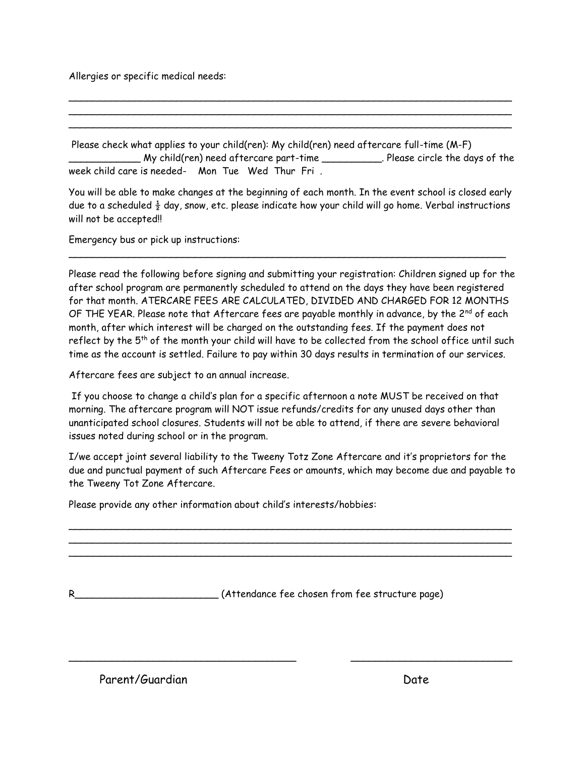Allergies or specific medical needs:

Please check what applies to your child(ren): My child(ren) need aftercare full-time (M-F) \_\_\_\_\_\_\_\_\_\_\_\_ My child(ren) need aftercare part-time \_\_\_\_\_\_\_\_\_\_. Please circle the days of the week child care is needed- Mon Tue Wed Thur Fri .

\_\_\_\_\_\_\_\_\_\_\_\_\_\_\_\_\_\_\_\_\_\_\_\_\_\_\_\_\_\_\_\_\_\_\_\_\_\_\_\_\_\_\_\_\_\_\_\_\_\_\_\_\_\_\_\_\_\_\_\_\_\_\_\_\_\_\_\_\_\_\_\_\_\_ \_\_\_\_\_\_\_\_\_\_\_\_\_\_\_\_\_\_\_\_\_\_\_\_\_\_\_\_\_\_\_\_\_\_\_\_\_\_\_\_\_\_\_\_\_\_\_\_\_\_\_\_\_\_\_\_\_\_\_\_\_\_\_\_\_\_\_\_\_\_\_\_\_\_ \_\_\_\_\_\_\_\_\_\_\_\_\_\_\_\_\_\_\_\_\_\_\_\_\_\_\_\_\_\_\_\_\_\_\_\_\_\_\_\_\_\_\_\_\_\_\_\_\_\_\_\_\_\_\_\_\_\_\_\_\_\_\_\_\_\_\_\_\_\_\_\_\_\_

You will be able to make changes at the beginning of each month. In the event school is closed early due to a scheduled  $\frac{1}{2}$  day, snow, etc. please indicate how your child will go home. Verbal instructions will not be accepted!!

\_\_\_\_\_\_\_\_\_\_\_\_\_\_\_\_\_\_\_\_\_\_\_\_\_\_\_\_\_\_\_\_\_\_\_\_\_\_\_\_\_\_\_\_\_\_\_\_\_\_\_\_\_\_\_\_\_\_\_\_\_\_\_\_\_\_\_\_\_\_\_\_\_

Emergency bus or pick up instructions:

Please read the following before signing and submitting your registration: Children signed up for the after school program are permanently scheduled to attend on the days they have been registered for that month. ATERCARE FEES ARE CALCULATED, DIVIDED AND CHARGED FOR 12 MONTHS OF THE YEAR. Please note that Aftercare fees are payable monthly in advance, by the  $2^{nd}$  of each month, after which interest will be charged on the outstanding fees. If the payment does not reflect by the  $5<sup>th</sup>$  of the month your child will have to be collected from the school office until such time as the account is settled. Failure to pay within 30 days results in termination of our services.

Aftercare fees are subject to an annual increase.

If you choose to change a child's plan for a specific afternoon a note MUST be received on that morning. The aftercare program will NOT issue refunds/credits for any unused days other than unanticipated school closures. Students will not be able to attend, if there are severe behavioral issues noted during school or in the program.

I/we accept joint several liability to the Tweeny Totz Zone Aftercare and it's proprietors for the due and punctual payment of such Aftercare Fees or amounts, which may become due and payable to the Tweeny Tot Zone Aftercare.

\_\_\_\_\_\_\_\_\_\_\_\_\_\_\_\_\_\_\_\_\_\_\_\_\_\_\_\_\_\_\_\_\_\_\_\_\_\_\_\_\_\_\_\_\_\_\_\_\_\_\_\_\_\_\_\_\_\_\_\_\_\_\_\_\_\_\_\_\_\_\_\_\_\_ \_\_\_\_\_\_\_\_\_\_\_\_\_\_\_\_\_\_\_\_\_\_\_\_\_\_\_\_\_\_\_\_\_\_\_\_\_\_\_\_\_\_\_\_\_\_\_\_\_\_\_\_\_\_\_\_\_\_\_\_\_\_\_\_\_\_\_\_\_\_\_\_\_\_ \_\_\_\_\_\_\_\_\_\_\_\_\_\_\_\_\_\_\_\_\_\_\_\_\_\_\_\_\_\_\_\_\_\_\_\_\_\_\_\_\_\_\_\_\_\_\_\_\_\_\_\_\_\_\_\_\_\_\_\_\_\_\_\_\_\_\_\_\_\_\_\_\_\_

\_\_\_\_\_\_\_\_\_\_\_\_\_\_\_\_\_\_\_\_\_\_\_\_\_\_\_\_\_\_\_\_\_\_\_\_\_\_ \_\_\_\_\_\_\_\_\_\_\_\_\_\_\_\_\_\_\_\_\_\_\_\_\_\_\_

Please provide any other information about child's interests/hobbies:

R\_\_\_\_\_\_\_\_\_\_\_\_\_\_\_\_\_\_\_\_\_\_\_\_ (Attendance fee chosen from fee structure page)

Parent/Guardian Date